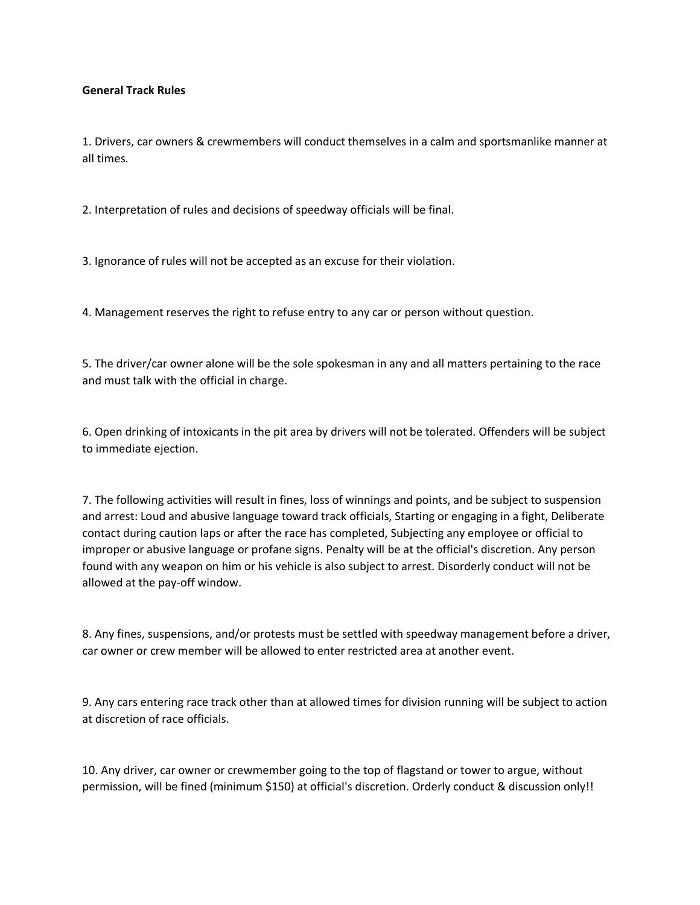## **General Track Rules**

1. Drivers, car owners & crewmembers will conduct themselves in a calm and sportsmanlike manner at all times.

2. Interpretation of rules and decisions of speedway officials will be final.

3. Ignorance of rules will not be accepted as an excuse for their violation.

4. Management reserves the right to refuse entry to any car or person without question.

5. The driver/car owner alone will be the sole spokesman in any and all matters pertaining to the race and must talk with the official in charge.

6. Open drinking of intoxicants in the pit area by drivers will not be tolerated. Offenders will be subject to immediate ejection.

7. The following activities will result in fines, loss of winnings and points, and be subject to suspension and arrest: Loud and abusive language toward track officials, Starting or engaging in a fight, Deliberate contact during caution laps or after the race has completed, Subjecting any employee or official to improper or abusive language or profane signs. Penalty will be at the official's discretion. Any person found with any weapon on him or his vehicle is also subject to arrest. Disorderly conduct will not be allowed at the pay-off window.

8. Any fines, suspensions, and/or protests must be settled with speedway management before a driver, car owner or crew member will be allowed to enter restricted area at another event.

9. Any cars entering race track other than at allowed times for division running will be subject to action at discretion of race officials.

10. Any driver, car owner or crewmember going to the top of flagstand or tower to argue, without permission, will be fined (minimum \$150) at official's discretion. Orderly conduct & discussion only!!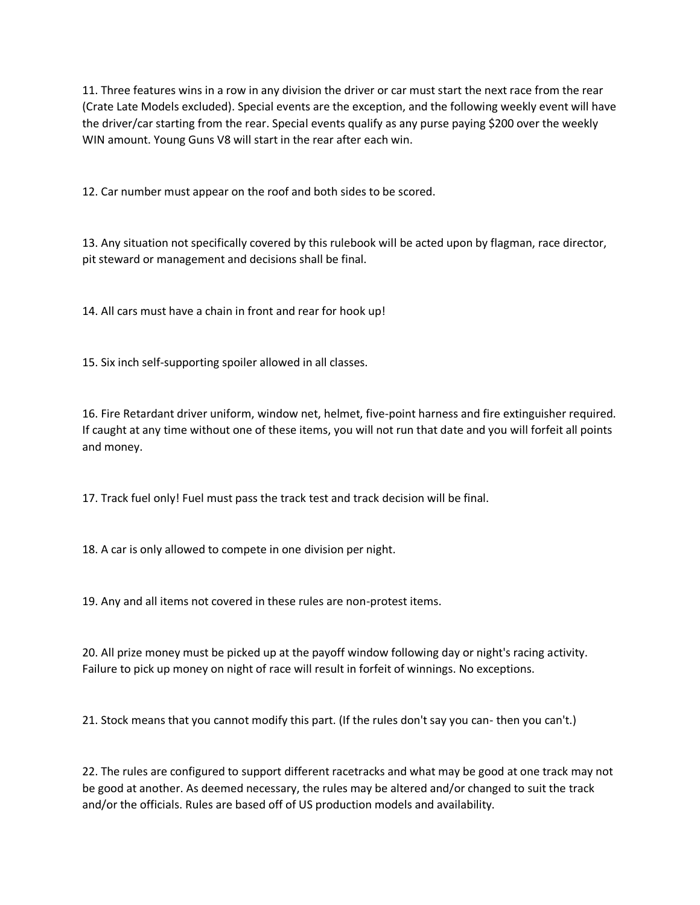11. Three features wins in a row in any division the driver or car must start the next race from the rear (Crate Late Models excluded). Special events are the exception, and the following weekly event will have the driver/car starting from the rear. Special events qualify as any purse paying \$200 over the weekly WIN amount. Young Guns V8 will start in the rear after each win.

12. Car number must appear on the roof and both sides to be scored.

13. Any situation not specifically covered by this rulebook will be acted upon by flagman, race director, pit steward or management and decisions shall be final.

14. All cars must have a chain in front and rear for hook up!

15. Six inch self-supporting spoiler allowed in all classes.

16. Fire Retardant driver uniform, window net, helmet, five-point harness and fire extinguisher required. If caught at any time without one of these items, you will not run that date and you will forfeit all points and money.

17. Track fuel only! Fuel must pass the track test and track decision will be final.

18. A car is only allowed to compete in one division per night.

19. Any and all items not covered in these rules are non-protest items.

20. All prize money must be picked up at the payoff window following day or night's racing activity. Failure to pick up money on night of race will result in forfeit of winnings. No exceptions.

21. Stock means that you cannot modify this part. (If the rules don't say you can- then you can't.)

22. The rules are configured to support different racetracks and what may be good at one track may not be good at another. As deemed necessary, the rules may be altered and/or changed to suit the track and/or the officials. Rules are based off of US production models and availability.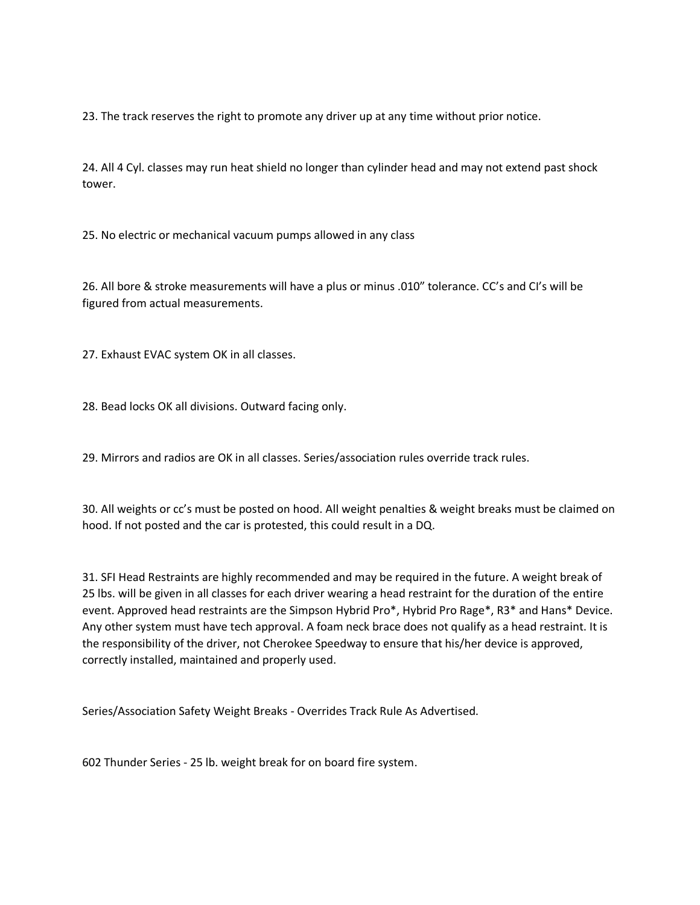23. The track reserves the right to promote any driver up at any time without prior notice.

24. All 4 Cyl. classes may run heat shield no longer than cylinder head and may not extend past shock tower.

25. No electric or mechanical vacuum pumps allowed in any class

26. All bore & stroke measurements will have a plus or minus .010" tolerance. CC's and CI's will be figured from actual measurements.

27. Exhaust EVAC system OK in all classes.

28. Bead locks OK all divisions. Outward facing only.

29. Mirrors and radios are OK in all classes. Series/association rules override track rules.

30. All weights or cc's must be posted on hood. All weight penalties & weight breaks must be claimed on hood. If not posted and the car is protested, this could result in a DQ.

31. SFI Head Restraints are highly recommended and may be required in the future. A weight break of 25 lbs. will be given in all classes for each driver wearing a head restraint for the duration of the entire event. Approved head restraints are the Simpson Hybrid Pro\*, Hybrid Pro Rage\*, R3\* and Hans\* Device. Any other system must have tech approval. A foam neck brace does not qualify as a head restraint. It is the responsibility of the driver, not Cherokee Speedway to ensure that his/her device is approved, correctly installed, maintained and properly used.

Series/Association Safety Weight Breaks - Overrides Track Rule As Advertised.

602 Thunder Series - 25 lb. weight break for on board fire system.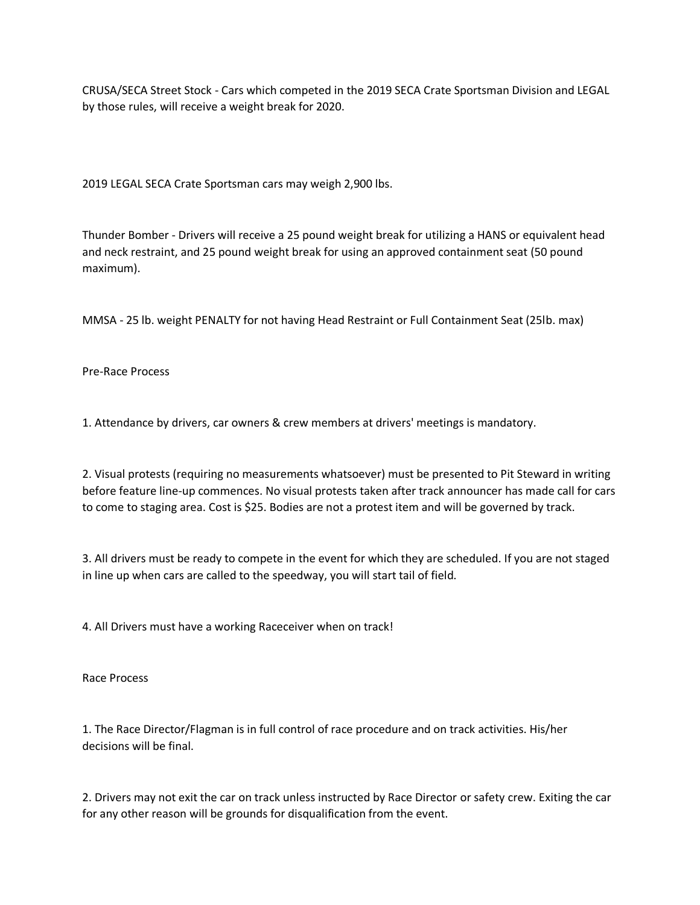CRUSA/SECA Street Stock - Cars which competed in the 2019 SECA Crate Sportsman Division and LEGAL by those rules, will receive a weight break for 2020.

2019 LEGAL SECA Crate Sportsman cars may weigh 2,900 lbs.

Thunder Bomber - Drivers will receive a 25 pound weight break for utilizing a HANS or equivalent head and neck restraint, and 25 pound weight break for using an approved containment seat (50 pound maximum).

MMSA - 25 lb. weight PENALTY for not having Head Restraint or Full Containment Seat (25lb. max)

Pre-Race Process

1. Attendance by drivers, car owners & crew members at drivers' meetings is mandatory.

2. Visual protests (requiring no measurements whatsoever) must be presented to Pit Steward in writing before feature line-up commences. No visual protests taken after track announcer has made call for cars to come to staging area. Cost is \$25. Bodies are not a protest item and will be governed by track.

3. All drivers must be ready to compete in the event for which they are scheduled. If you are not staged in line up when cars are called to the speedway, you will start tail of field.

4. All Drivers must have a working Raceceiver when on track!

Race Process

1. The Race Director/Flagman is in full control of race procedure and on track activities. His/her decisions will be final.

2. Drivers may not exit the car on track unless instructed by Race Director or safety crew. Exiting the car for any other reason will be grounds for disqualification from the event.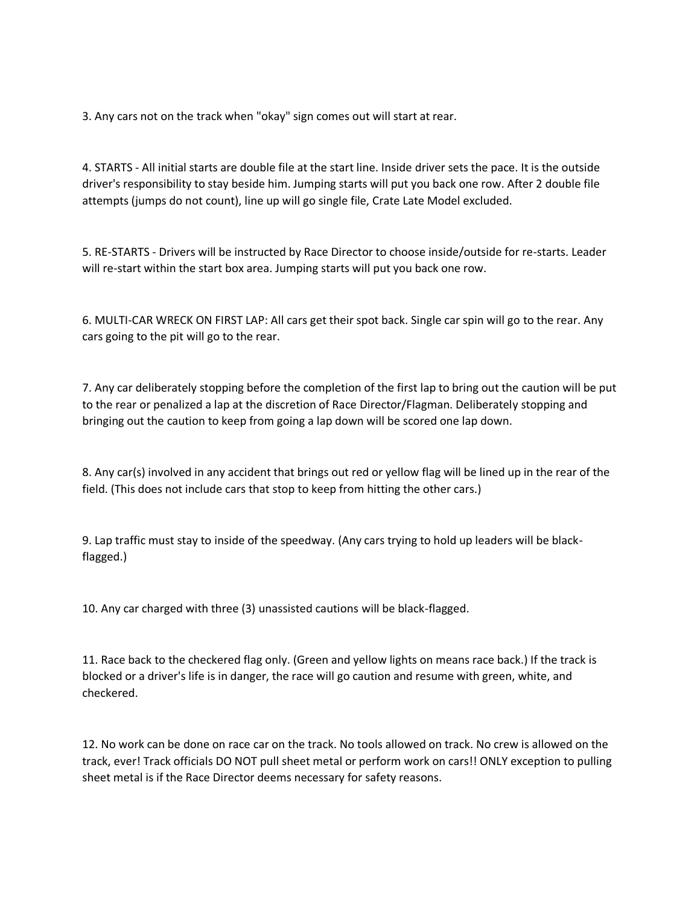3. Any cars not on the track when "okay" sign comes out will start at rear.

4. STARTS - All initial starts are double file at the start line. Inside driver sets the pace. It is the outside driver's responsibility to stay beside him. Jumping starts will put you back one row. After 2 double file attempts (jumps do not count), line up will go single file, Crate Late Model excluded.

5. RE-STARTS - Drivers will be instructed by Race Director to choose inside/outside for re-starts. Leader will re-start within the start box area. Jumping starts will put you back one row.

6. MULTI-CAR WRECK ON FIRST LAP: All cars get their spot back. Single car spin will go to the rear. Any cars going to the pit will go to the rear.

7. Any car deliberately stopping before the completion of the first lap to bring out the caution will be put to the rear or penalized a lap at the discretion of Race Director/Flagman. Deliberately stopping and bringing out the caution to keep from going a lap down will be scored one lap down.

8. Any car(s) involved in any accident that brings out red or yellow flag will be lined up in the rear of the field. (This does not include cars that stop to keep from hitting the other cars.)

9. Lap traffic must stay to inside of the speedway. (Any cars trying to hold up leaders will be blackflagged.)

10. Any car charged with three (3) unassisted cautions will be black-flagged.

11. Race back to the checkered flag only. (Green and yellow lights on means race back.) If the track is blocked or a driver's life is in danger, the race will go caution and resume with green, white, and checkered.

12. No work can be done on race car on the track. No tools allowed on track. No crew is allowed on the track, ever! Track officials DO NOT pull sheet metal or perform work on cars!! ONLY exception to pulling sheet metal is if the Race Director deems necessary for safety reasons.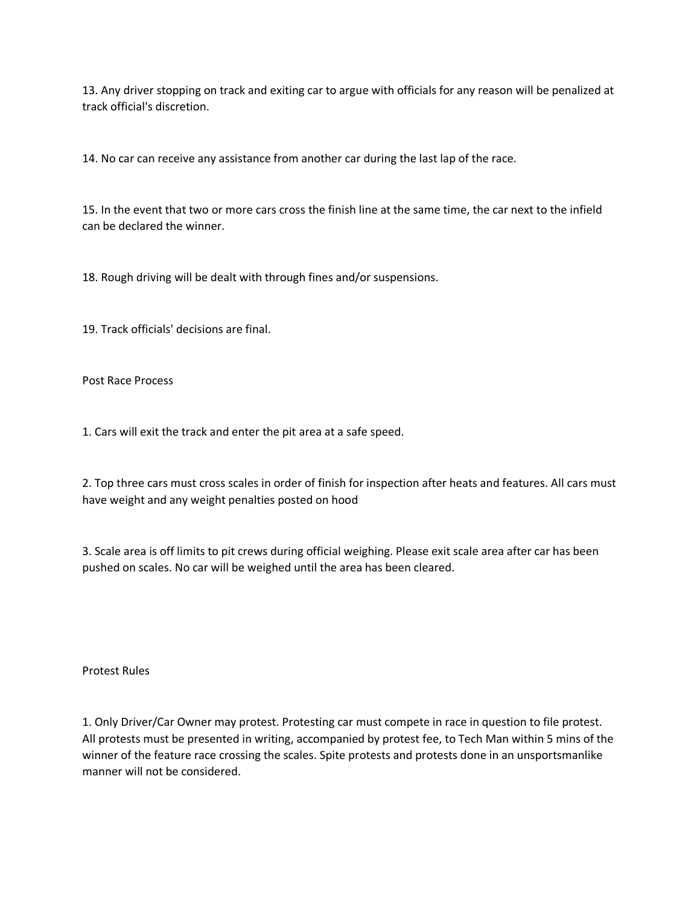13. Any driver stopping on track and exiting car to argue with officials for any reason will be penalized at track official's discretion.

14. No car can receive any assistance from another car during the last lap of the race.

15. In the event that two or more cars cross the finish line at the same time, the car next to the infield can be declared the winner.

18. Rough driving will be dealt with through fines and/or suspensions.

19. Track officials' decisions are final.

Post Race Process

1. Cars will exit the track and enter the pit area at a safe speed.

2. Top three cars must cross scales in order of finish for inspection after heats and features. All cars must have weight and any weight penalties posted on hood

3. Scale area is off limits to pit crews during official weighing. Please exit scale area after car has been pushed on scales. No car will be weighed until the area has been cleared.

Protest Rules

1. Only Driver/Car Owner may protest. Protesting car must compete in race in question to file protest. All protests must be presented in writing, accompanied by protest fee, to Tech Man within 5 mins of the winner of the feature race crossing the scales. Spite protests and protests done in an unsportsmanlike manner will not be considered.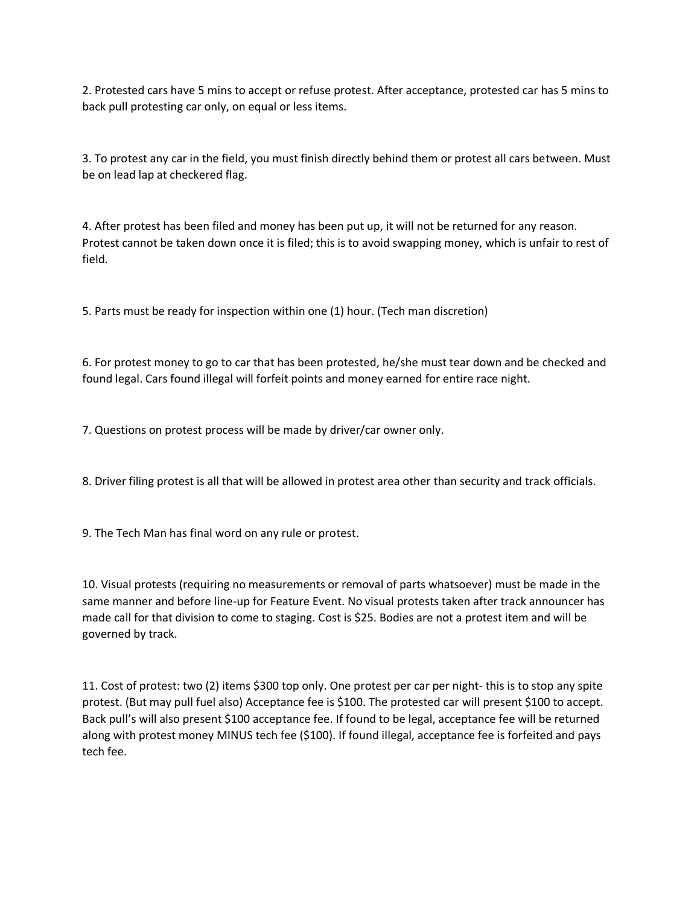2. Protested cars have 5 mins to accept or refuse protest. After acceptance, protested car has 5 mins to back pull protesting car only, on equal or less items.

3. To protest any car in the field, you must finish directly behind them or protest all cars between. Must be on lead lap at checkered flag.

4. After protest has been filed and money has been put up, it will not be returned for any reason. Protest cannot be taken down once it is filed; this is to avoid swapping money, which is unfair to rest of field.

5. Parts must be ready for inspection within one (1) hour. (Tech man discretion)

6. For protest money to go to car that has been protested, he/she must tear down and be checked and found legal. Cars found illegal will forfeit points and money earned for entire race night.

7. Questions on protest process will be made by driver/car owner only.

8. Driver filing protest is all that will be allowed in protest area other than security and track officials.

9. The Tech Man has final word on any rule or protest.

10. Visual protests (requiring no measurements or removal of parts whatsoever) must be made in the same manner and before line-up for Feature Event. No visual protests taken after track announcer has made call for that division to come to staging. Cost is \$25. Bodies are not a protest item and will be governed by track.

11. Cost of protest: two (2) items \$300 top only. One protest per car per night- this is to stop any spite protest. (But may pull fuel also) Acceptance fee is \$100. The protested car will present \$100 to accept. Back pull's will also present \$100 acceptance fee. If found to be legal, acceptance fee will be returned along with protest money MINUS tech fee (\$100). If found illegal, acceptance fee is forfeited and pays tech fee.